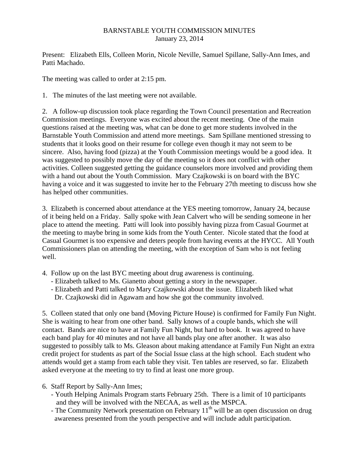## BARNSTABLE YOUTH COMMISSION MINUTES January 23, 2014

Present: Elizabeth Ells, Colleen Morin, Nicole Neville, Samuel Spillane, Sally-Ann Imes, and Patti Machado.

The meeting was called to order at 2:15 pm.

1. The minutes of the last meeting were not available.

2. A follow-up discussion took place regarding the Town Council presentation and Recreation Commission meetings. Everyone was excited about the recent meeting. One of the main questions raised at the meeting was, what can be done to get more students involved in the Barnstable Youth Commission and attend more meetings. Sam Spillane mentioned stressing to students that it looks good on their resume for college even though it may not seem to be sincere. Also, having food (pizza) at the Youth Commission meetings would be a good idea. It was suggested to possibly move the day of the meeting so it does not conflict with other activities. Colleen suggested getting the guidance counselors more involved and providing them with a hand out about the Youth Commission. Mary Czajkowski is on board with the BYC having a voice and it was suggested to invite her to the February 27th meeting to discuss how she has helped other communities.

3. Elizabeth is concerned about attendance at the YES meeting tomorrow, January 24, because of it being held on a Friday. Sally spoke with Jean Calvert who will be sending someone in her place to attend the meeting. Patti will look into possibly having pizza from Casual Gourmet at the meeting to maybe bring in some kids from the Youth Center. Nicole stated that the food at Casual Gourmet is too expensive and deters people from having events at the HYCC. All Youth Commissioners plan on attending the meeting, with the exception of Sam who is not feeling well.

- 4. Follow up on the last BYC meeting about drug awareness is continuing.
	- Elizabeth talked to Ms. Gianetto about getting a story in the newspaper.
	- Elizabeth and Patti talked to Mary Czajkowski about the issue. Elizabeth liked what Dr. Czajkowski did in Agawam and how she got the community involved.

5. Colleen stated that only one band (Moving Picture House) is confirmed for Family Fun Night. She is waiting to hear from one other band. Sally knows of a couple bands, which she will contact. Bands are nice to have at Family Fun Night, but hard to book. It was agreed to have each band play for 40 minutes and not have all bands play one after another. It was also suggested to possibly talk to Ms. Gleason about making attendance at Family Fun Night an extra credit project for students as part of the Social Issue class at the high school. Each student who attends would get a stamp from each table they visit. Ten tables are reserved, so far. Elizabeth asked everyone at the meeting to try to find at least one more group.

- 6. Staff Report by Sally-Ann Imes;
	- Youth Helping Animals Program starts February 25th. There is a limit of 10 participants and they will be involved with the NECAA, as well as the MSPCA.
	- The Community Network presentation on February  $11<sup>th</sup>$  will be an open discussion on drug awareness presented from the youth perspective and will include adult participation.